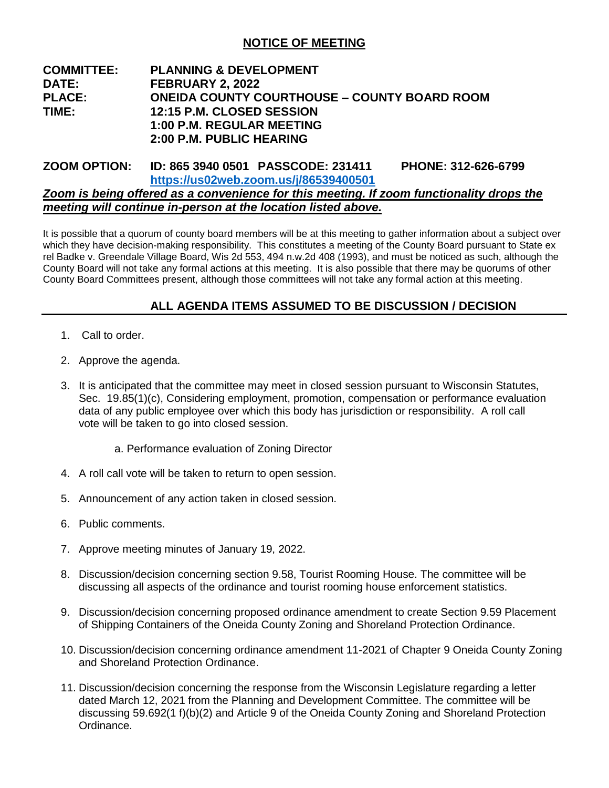# **NOTICE OF MEETING**

## **COMMITTEE: PLANNING & DEVELOPMENT DATE: FEBRUARY 2, 2022 PLACE: ONEIDA COUNTY COURTHOUSE – COUNTY BOARD ROOM TIME: 12:15 P.M. CLOSED SESSION 1:00 P.M. REGULAR MEETING 2:00 P.M. PUBLIC HEARING**

## **ZOOM OPTION: ID: 865 3940 0501 PASSCODE: 231411 PHONE: 312-626-6799 <https://us02web.zoom.us/j/86539400501>** *Zoom is being offered as a convenience for this meeting. If zoom functionality drops the meeting will continue in-person at the location listed above.*

It is possible that a quorum of county board members will be at this meeting to gather information about a subject over which they have decision-making responsibility. This constitutes a meeting of the County Board pursuant to State ex rel Badke v. Greendale Village Board, Wis 2d 553, 494 n.w.2d 408 (1993), and must be noticed as such, although the County Board will not take any formal actions at this meeting. It is also possible that there may be quorums of other County Board Committees present, although those committees will not take any formal action at this meeting.

# **ALL AGENDA ITEMS ASSUMED TO BE DISCUSSION / DECISION**

- 1. Call to order.
- 2. Approve the agenda.
- 3. It is anticipated that the committee may meet in closed session pursuant to Wisconsin Statutes, Sec. 19.85(1)(c), Considering employment, promotion, compensation or performance evaluation data of any public employee over which this body has jurisdiction or responsibility. A roll call vote will be taken to go into closed session.
	- a. Performance evaluation of Zoning Director
- 4. A roll call vote will be taken to return to open session.
- 5. Announcement of any action taken in closed session.
- 6. Public comments.
- 7. Approve meeting minutes of January 19, 2022.
- 8. Discussion/decision concerning section 9.58, Tourist Rooming House. The committee will be discussing all aspects of the ordinance and tourist rooming house enforcement statistics.
- 9. Discussion/decision concerning proposed ordinance amendment to create Section 9.59 Placement of Shipping Containers of the Oneida County Zoning and Shoreland Protection Ordinance.
- 10. Discussion/decision concerning ordinance amendment 11-2021 of Chapter 9 Oneida County Zoning and Shoreland Protection Ordinance.
- 11. Discussion/decision concerning the response from the Wisconsin Legislature regarding a letter dated March 12, 2021 from the Planning and Development Committee. The committee will be discussing 59.692(1 f)(b)(2) and Article 9 of the Oneida County Zoning and Shoreland Protection Ordinance.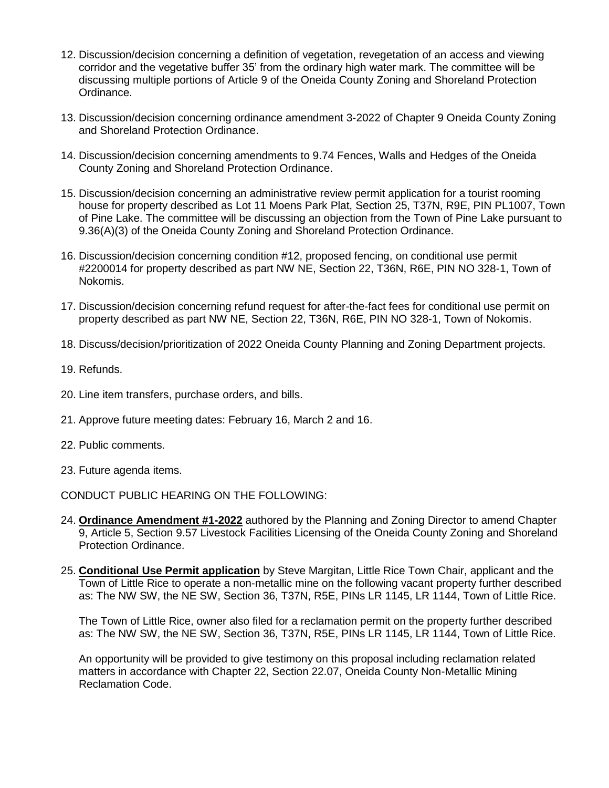- 12. Discussion/decision concerning a definition of vegetation, revegetation of an access and viewing corridor and the vegetative buffer 35' from the ordinary high water mark. The committee will be discussing multiple portions of Article 9 of the Oneida County Zoning and Shoreland Protection Ordinance.
- 13. Discussion/decision concerning ordinance amendment 3-2022 of Chapter 9 Oneida County Zoning and Shoreland Protection Ordinance.
- 14. Discussion/decision concerning amendments to 9.74 Fences, Walls and Hedges of the Oneida County Zoning and Shoreland Protection Ordinance.
- 15. Discussion/decision concerning an administrative review permit application for a tourist rooming house for property described as Lot 11 Moens Park Plat, Section 25, T37N, R9E, PIN PL1007, Town of Pine Lake. The committee will be discussing an objection from the Town of Pine Lake pursuant to 9.36(A)(3) of the Oneida County Zoning and Shoreland Protection Ordinance.
- 16. Discussion/decision concerning condition #12, proposed fencing, on conditional use permit #2200014 for property described as part NW NE, Section 22, T36N, R6E, PIN NO 328-1, Town of Nokomis.
- 17. Discussion/decision concerning refund request for after-the-fact fees for conditional use permit on property described as part NW NE, Section 22, T36N, R6E, PIN NO 328-1, Town of Nokomis.
- 18. Discuss/decision/prioritization of 2022 Oneida County Planning and Zoning Department projects.
- 19. Refunds.
- 20. Line item transfers, purchase orders, and bills.
- 21. Approve future meeting dates: February 16, March 2 and 16.
- 22. Public comments.
- 23. Future agenda items.

CONDUCT PUBLIC HEARING ON THE FOLLOWING:

- 24. **Ordinance Amendment #1-2022** authored by the Planning and Zoning Director to amend Chapter 9, Article 5, Section 9.57 Livestock Facilities Licensing of the Oneida County Zoning and Shoreland Protection Ordinance.
- 25. **Conditional Use Permit application** by Steve Margitan, Little Rice Town Chair, applicant and the Town of Little Rice to operate a non-metallic mine on the following vacant property further described as: The NW SW, the NE SW, Section 36, T37N, R5E, PINs LR 1145, LR 1144, Town of Little Rice.

The Town of Little Rice, owner also filed for a reclamation permit on the property further described as: The NW SW, the NE SW, Section 36, T37N, R5E, PINs LR 1145, LR 1144, Town of Little Rice.

An opportunity will be provided to give testimony on this proposal including reclamation related matters in accordance with Chapter 22, Section 22.07, Oneida County Non-Metallic Mining Reclamation Code.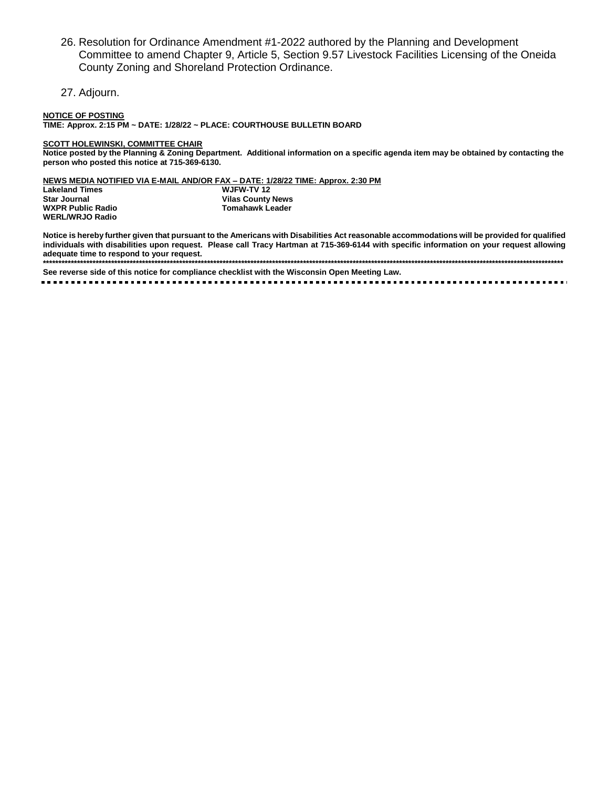- 26. Resolution for Ordinance Amendment #1-2022 authored by the Planning and Development Committee to amend Chapter 9, Article 5, Section 9.57 Livestock Facilities Licensing of the Oneida County Zoning and Shoreland Protection Ordinance.
- 27. Adjourn.

NOTICE OF POSTING<br>TIME: Approx. 2:15 PM ~ DATE: 1/28/22 ~ PLACE: COURTHOUSE BULLETIN BOARD

#### **SCOTT HOLEWINSKI, COMMITTEE CHAIR**

Notice posted by the Planning & Zoning Department. Additional information on a specific agenda item may be obtained by contacting the person who posted this notice at 715-369-6130.

NEWS MEDIA NOTIFIED VIA E-MAIL AND/OR FAX - DATE: 1/28/22 TIME: Approx. 2:30 PM

**Lakeland Times Star Journal WXPR Public Radio WERL/WRJO Radio** 

WJFW-TV 12 **Vilas County News** Tomahawk Leader

Notice is hereby further given that pursuant to the Americans with Disabilities Act reasonable accommodations will be provided for qualified individuals with disabilities upon request. Please call Tracy Hartman at 715-369-6144 with specific information on your request allowing adequate time to respond to your request. 

See reverse side of this notice for compliance checklist with the Wisconsin Open Meeting Law.